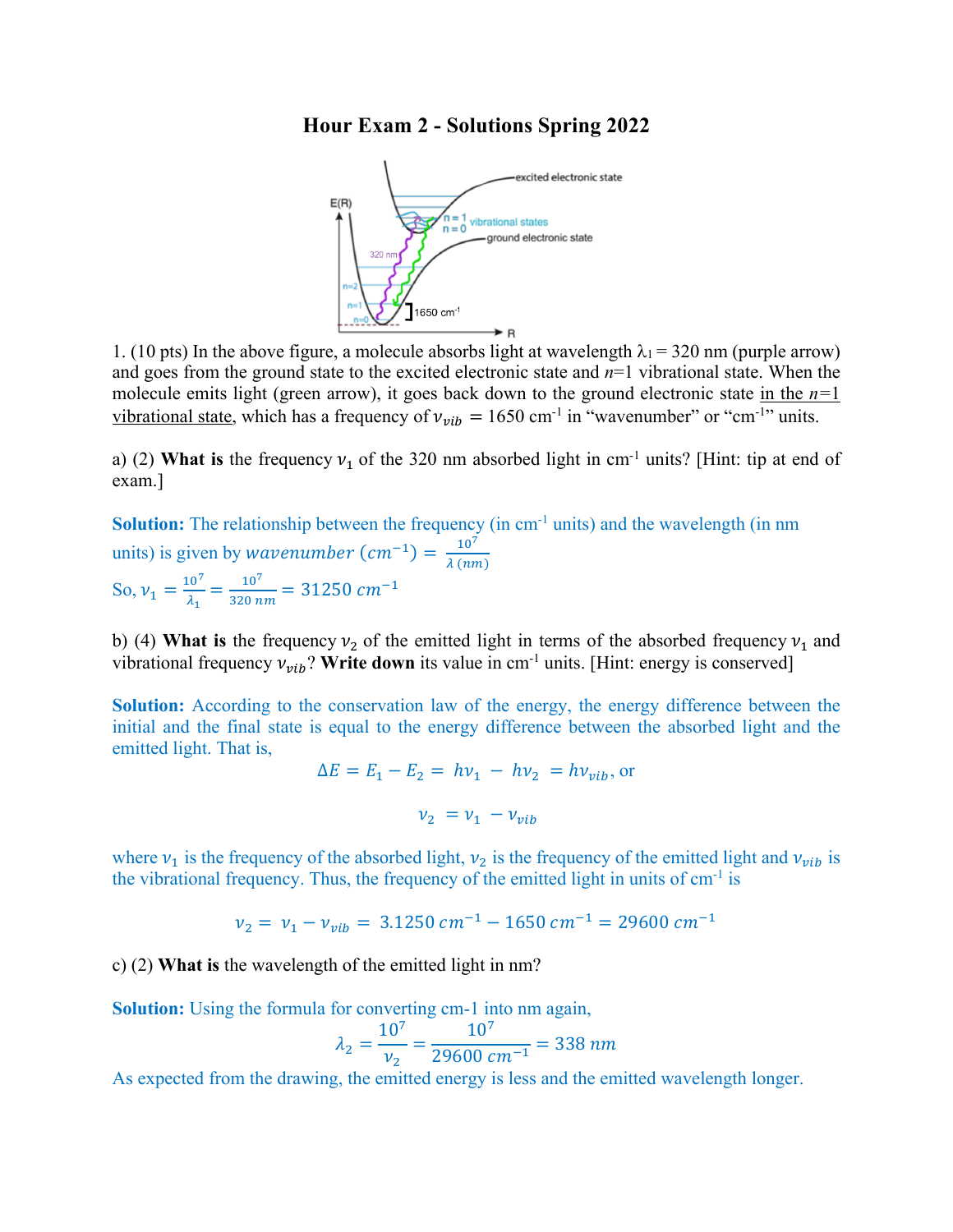## **Hour Exam 2 - Solutions Spring 2022**



1. (10 pts) In the above figure, a molecule absorbs light at wavelength  $\lambda_1 = 320$  nm (purple arrow) and goes from the ground state to the excited electronic state and *n*=1 vibrational state. When the molecule emits light (green arrow), it goes back down to the ground electronic state in the *n=*1 vibrational state, which has a frequency of  $v_{vib} = 1650$  cm<sup>-1</sup> in "wavenumber" or "cm<sup>-1</sup>" units.

a) (2) **What is** the frequency  $v_1$  of the 320 nm absorbed light in cm<sup>-1</sup> units? [Hint: tip at end of exam.]

**Solution:** The relationship between the frequency (in cm<sup>-1</sup> units) and the wavelength (in nm units) is given by *wavenumber*  $(cm^{-1}) = \frac{10^7}{\lambda (nm)}$ So,  $v_1 = \frac{10^7}{\lambda_1} = \frac{10^7}{320 \, nm} = 31250 \, cm^{-1}$ 

b) (4) **What is** the frequency  $v_2$  of the emitted light in terms of the absorbed frequency  $v_1$  and vibrational frequency  $v_{vib}$ ? Write down its value in cm<sup>-1</sup> units. [Hint: energy is conserved]

**Solution:** According to the conservation law of the energy, the energy difference between the initial and the final state is equal to the energy difference between the absorbed light and the emitted light. That is,

$$
\Delta E = E_1 - E_2 = h\nu_1 - h\nu_2 = h\nu_{vib}, \text{ or}
$$

$$
\nu_2 = \nu_1 - \nu_{vib}
$$

where  $v_1$  is the frequency of the absorbed light,  $v_2$  is the frequency of the emitted light and  $v_{vib}$  is the vibrational frequency. Thus, the frequency of the emitted light in units of  $cm<sup>-1</sup>$  is

$$
v_2 = v_1 - v_{vib} = 3.1250 \, \text{cm}^{-1} - 1650 \, \text{cm}^{-1} = 29600 \, \text{cm}^{-1}
$$

c) (2) **What is** the wavelength of the emitted light in nm?

**Solution:** Using the formula for converting cm-1 into nm again,

$$
\lambda_2 = \frac{10^7}{v_2} = \frac{10^7}{29600 \text{ cm}^{-1}} = 338 \text{ nm}
$$

As expected from the drawing, the emitted energy is less and the emitted wavelength longer.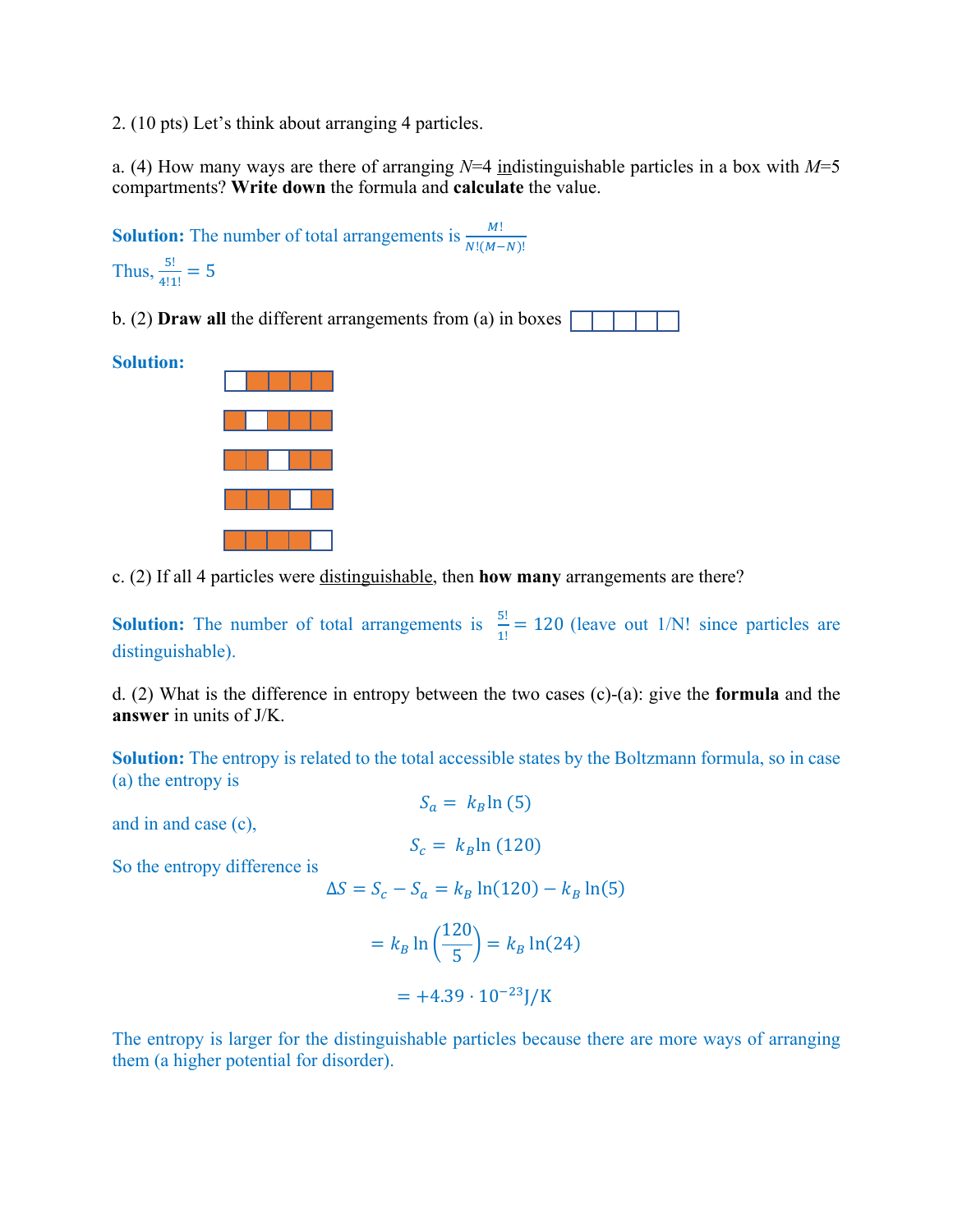2. (10 pts) Let's think about arranging 4 particles.

a. (4) How many ways are there of arranging *N*=4 indistinguishable particles in a box with *M*=5 compartments? **Write down** the formula and **calculate** the value.



c. (2) If all 4 particles were distinguishable, then **how many** arrangements are there?

**Solution:** The number of total arrangements is  $\frac{5!}{1!} = 120$  (leave out 1/N! since particles are distinguishable).

d. (2) What is the difference in entropy between the two cases (c)-(a): give the **formula** and the **answer** in units of J/K.

**Solution:** The entropy is related to the total accessible states by the Boltzmann formula, so in case (a) the entropy is

and in and case (c),

$$
S_c = k_B \ln(120)
$$

So the entropy difference is

 $ΔS = S<sub>c</sub> - S<sub>a</sub> = k<sub>B</sub> ln(120) - k<sub>B</sub> ln(5)$ 

$$
= k_B \ln \left(\frac{120}{5}\right) = k_B \ln(24)
$$

$$
= +4.39 \cdot 10^{-23} J/K
$$

The entropy is larger for the distinguishable particles because there are more ways of arranging them (a higher potential for disorder).

$$
S_a = k_B \ln(5)
$$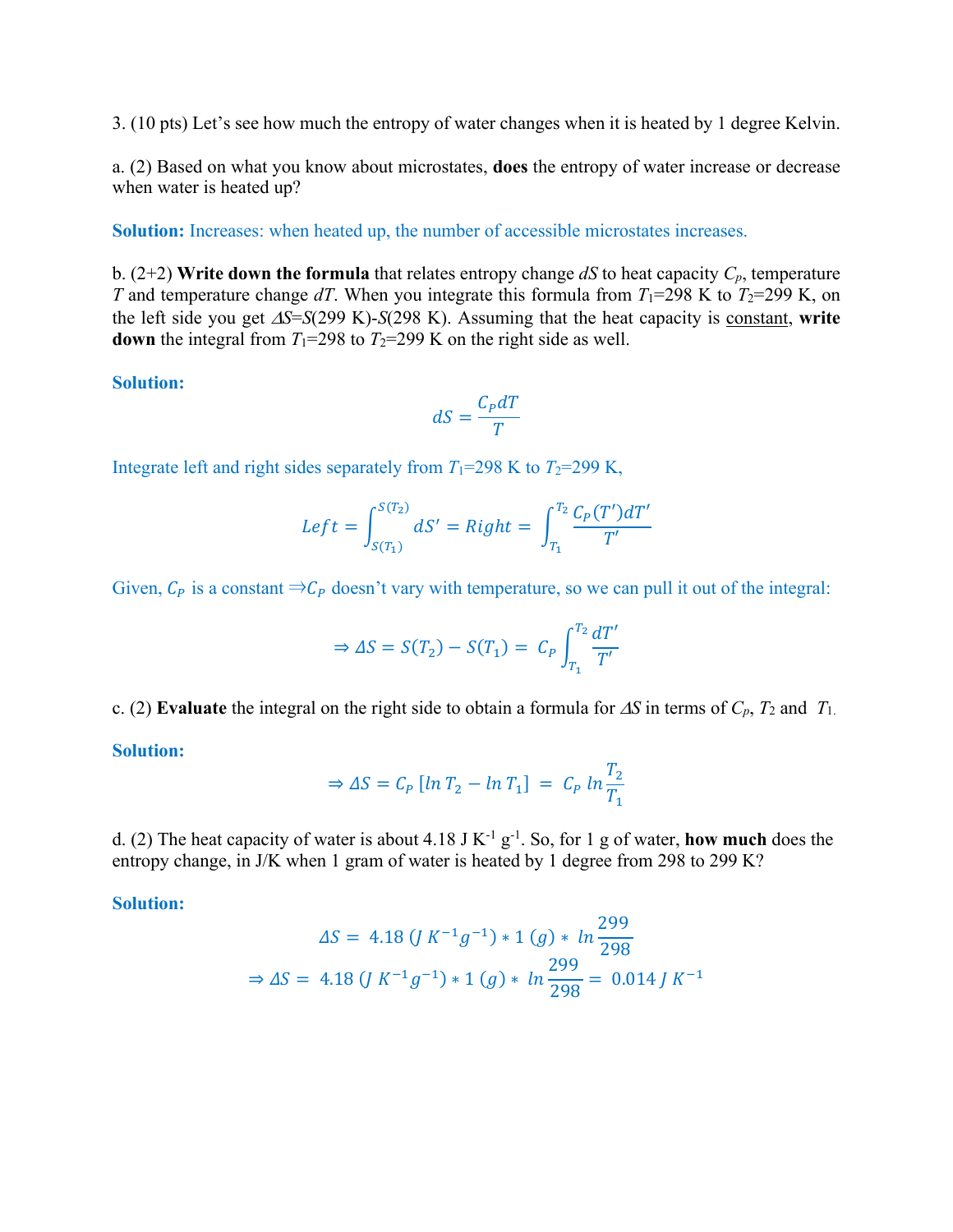3. (10 pts) Let's see how much the entropy of water changes when it is heated by 1 degree Kelvin.

a. (2) Based on what you know about microstates, **does** the entropy of water increase or decrease when water is heated up?

**Solution:** Increases: when heated up, the number of accessible microstates increases.

b. (2+2) **Write down the formula** that relates entropy change *dS* to heat capacity  $C_p$ , temperature *T* and temperature change *dT*. When you integrate this formula from  $T_1$ =298 K to  $T_2$ =299 K, on the left side you get  $\Delta S = S(299 \text{ K}) - S(298 \text{ K})$ . Assuming that the heat capacity is constant, write **down** the integral from  $T_1=298$  to  $T_2=299$  K on the right side as well.

**Solution:**

$$
dS = \frac{C_P dT}{T}
$$

Integrate left and right sides separately from  $T_1=298$  K to  $T_2=299$  K,

$$
Left = \int_{S(T_1)}^{S(T_2)} dS' = Right = \int_{T_1}^{T_2} \frac{C_P(T')dT'}{T'}
$$

Given,  $C_p$  is a constant  $\Rightarrow C_p$  doesn't vary with temperature, so we can pull it out of the integral:

$$
\Rightarrow \Delta S = S(T_2) - S(T_1) = C_P \int_{T_1}^{T_2} \frac{dT'}{T'}
$$

c. (2) **Evaluate** the integral on the right side to obtain a formula for  $\Delta S$  in terms of  $C_p$ ,  $T_2$  and  $T_1$ .

**Solution:** 

$$
\Rightarrow \Delta S = C_P \left[ \ln T_2 - \ln T_1 \right] = C_P \ln \frac{T_2}{T_1}
$$

d. (2) The heat capacity of water is about 4.18 J K-1 g-1 . So, for 1 g of water, **how much** does the entropy change, in J/K when 1 gram of water is heated by 1 degree from 298 to 299 K?

**Solution:** 

$$
\Delta S = 4.18 \left( J \, K^{-1} g^{-1} \right) * 1 \left( g \right) * \ln \frac{299}{298}
$$
\n
$$
\Rightarrow \Delta S = 4.18 \left( J \, K^{-1} g^{-1} \right) * 1 \left( g \right) * \ln \frac{299}{298} = 0.014 \, J \, K^{-1}
$$